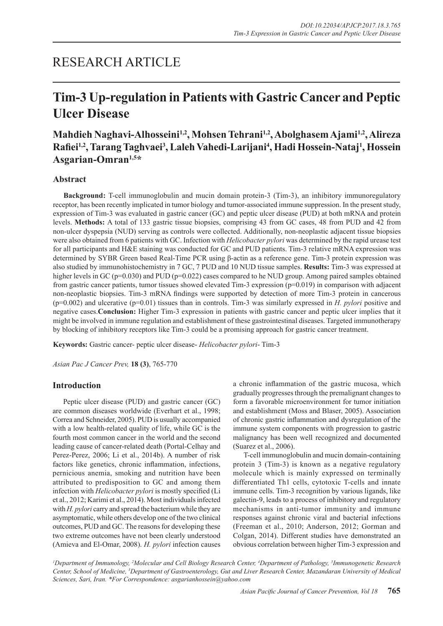# RESEARCH ARTICLE

# **Tim-3 Up-regulation in Patients with Gastric Cancer and Peptic Ulcer Disease**

# **Mahdieh Naghavi-Alhosseini1,2, Mohsen Tehrani1,2, Abolghasem Ajami1,2, Alireza Rafiei1,2, Tarang Taghvaei3 , Laleh Vahedi-Larijani4 , Hadi Hossein-Nataj1 , Hossein Asgarian-Omran1,5\***

## **Abstract**

**Background:** T-cell immunoglobulin and mucin domain protein-3 (Tim-3), an inhibitory immunoregulatory receptor, has been recently implicated in tumor biology and tumor-associated immune suppression. In the present study, expression of Tim-3 was evaluated in gastric cancer (GC) and peptic ulcer disease (PUD) at both mRNA and protein levels. **Methods:** A total of 133 gastric tissue biopsies, comprising 43 from GC cases, 48 from PUD and 42 from non-ulcer dyspepsia (NUD) serving as controls were collected. Additionally, non-neoplastic adjacent tissue biopsies were also obtained from 6 patients with GC. Infection with *Helicobacter pylori* was determined by the rapid urease test for all participants and H&E staining was conducted for GC and PUD patients. Tim-3 relative mRNA expression was determined by SYBR Green based Real-Time PCR using β-actin as a reference gene. Tim-3 protein expression was also studied by immunohistochemistry in 7 GC, 7 PUD and 10 NUD tissue samples. **Results:** Tim-3 was expressed at higher levels in GC (p=0.030) and PUD (p=0.022) cases compared to he NUD group. Among paired samples obtained from gastric cancer patients, tumor tissues showed elevated Tim-3 expression  $(p=0.019)$  in comparison with adjacent non-neoplastic biopsies. Tim-3 mRNA findings were supported by detection of more Tim-3 protein in cancerous (p=0.002) and ulcerative (p=0.01) tissues than in controls. Tim-3 was similarly expressed in *H. pylori* positive and negative cases.**Conclusion:** Higher Tim-3 expression in patients with gastric cancer and peptic ulcer implies that it might be involved in immune regulation and establishment of these gastrointestinal diseases. Targeted immunotherapy by blocking of inhibitory receptors like Tim-3 could be a promising approach for gastric cancer treatment.

**Keywords:** Gastric cancer- peptic ulcer disease- *Helicobacter pylori*- Tim-3

*Asian Pac J Cancer Prev,* **18 (3)**, 765-770

## **Introduction**

Peptic ulcer disease (PUD) and gastric cancer (GC) are common diseases worldwide (Everhart et al., 1998; Correa and Schneider, 2005). PUD is usually accompanied with a low health-related quality of life, while GC is the fourth most common cancer in the world and the second leading cause of cancer-related death (Portal-Celhay and Perez-Perez, 2006; Li et al., 2014b). A number of risk factors like genetics, chronic inflammation, infections, pernicious anemia, smoking and nutrition have been attributed to predisposition to GC and among them infection with *Helicobacter pylori* is mostly specified (Li et al., 2012; Karimi et al., 2014). Most individuals infected with *H. pylori* carry and spread the bacterium while they are asymptomatic, while others develop one of the two clinical outcomes, PUD and GC. The reasons for developing these two extreme outcomes have not been clearly understood (Amieva and El-Omar, 2008). *H. pylori* infection causes a chronic inflammation of the gastric mucosa, which gradually progresses through the premalignant changes to form a favorable microenvironment for tumor initiation and establishment (Moss and Blaser, 2005). Association of chronic gastric inflammation and dysregulation of the immune system components with progression to gastric malignancy has been well recognized and documented (Suarez et al., 2006).

T-cell immunoglobulin and mucin domain-containing protein 3 (Tim-3) is known as a negative regulatory molecule which is mainly expressed on terminally differentiated Th1 cells, cytotoxic T-cells and innate immune cells. Tim-3 recognition by various ligands, like galectin-9, leads to a process of inhibitory and regulatory mechanisms in anti-tumor immunity and immune responses against chronic viral and bacterial infections (Freeman et al., 2010; Anderson, 2012; Gorman and Colgan, 2014). Different studies have demonstrated an obvious correlation between higher Tim-3 expression and

*1 Department of Immunology, 2 Molecular and Cell Biology Research Center, 4 Department of Pathology, 5 Immunogenetic Research Center, School of Medicine, 3 Department of Gastroenterology, Gut and Liver Research Center, Mazandaran University of Medical Sciences, Sari, Iran. \*For Correspondence: asgarianhossein@yahoo.com*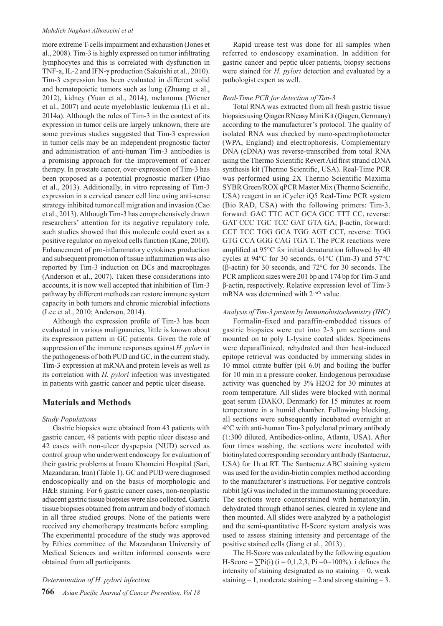#### *Mahdieh Naghavi Alhosseini et al*

more extreme T-cells impairment and exhaustion (Jones et al., 2008). Tim-3 is highly expressed on tumor infiltrating lymphocytes and this is correlated with dysfunction in TNF-a, IL-2 and IFN-γ production (Sakuishi et al., 2010). Tim-3 expression has been evaluated in different solid and hematopoietic tumors such as lung (Zhuang et al., 2012), kidney (Yuan et al., 2014), melanoma (Wiener et al., 2007) and acute myeloblastic leukemia (Li et al., 2014a). Although the roles of Tim-3 in the context of its expression in tumor cells are largely unknown, there are some previous studies suggested that Tim-3 expression in tumor cells may be an independent prognostic factor and administration of anti-human Tim-3 antibodies is a promising approach for the improvement of cancer therapy. In prostate cancer, over-expression of Tim-3 has been proposed as a potential prognostic marker (Piao et al., 2013). Additionally, in vitro repressing of Tim-3 expression in a cervical cancer cell line using anti-sense strategy inhibited tumor cell migration and invasion (Cao et al., 2013). Although Tim-3 has comprehensively drawn researchers' attention for its negative regulatory role, such studies showed that this molecule could exert as a positive regulator on myeloid cells function (Kane, 2010). Enhancement of pro-inflammatory cytokines production and subsequent promotion of tissue inflammation was also reported by Tim-3 induction on DCs and macrophages (Anderson et al., 2007). Taken these considerations into accounts, it is now well accepted that inhibition of Tim-3 pathway by different methods can restore immune system capacity in both tumors and chronic microbial infections (Lee et al., 2010; Anderson, 2014).

Although the expression profile of Tim-3 has been evaluated in various malignancies, little is known about its expression pattern in GC patients. Given the role of suppression of the immune responses against *H. pylori* in the pathogenesis of both PUD and GC, in the current study, Tim-3 expression at mRNA and protein levels as well as its correlation with *H. pylori* infection was investigated in patients with gastric cancer and peptic ulcer disease.

## **Materials and Methods**

#### *Study Populations*

Gastric biopsies were obtained from 43 patients with gastric cancer, 48 patients with peptic ulcer disease and 42 cases with non-ulcer dyspepsia (NUD) served as control group who underwent endoscopy for evaluation of their gastric problems at Imam Khomeini Hospital (Sari, Mazandaran, Iran) (Table 1). GC and PUD were diagnosed endoscopically and on the basis of morphologic and H&E staining. For 6 gastric cancer cases, non-neoplastic adjacent gastric tissue biopsies were also collected. Gastric tissue biopsies obtained from antrum and body of stomach in all three studied groups. None of the patients were received any chemotherapy treatments before sampling. The experimental procedure of the study was approved by Ethics committee of the Mazandaran University of Medical Sciences and written informed consents were obtained from all participants.

#### *Determination of H. pylori infection*

Rapid urease test was done for all samples when referred to endoscopy examination. In addition for gastric cancer and peptic ulcer patients, biopsy sections were stained for *H. pylori* detection and evaluated by a pathologist expert as well.

#### *Real-Time PCR for detection of Tim-3*

Total RNA was extracted from all fresh gastric tissue biopsies using Qiagen RNeasy Mini Kit (Qiagen, Germany) according to the manufacturer's protocol. The quality of isolated RNA was checked by nano-spectrophotometer (WPA, England) and electrophoresis. Complementary DNA (cDNA) was reverse-transcribed from total RNA using the Thermo Scientific Revert Aid first strand cDNA synthesis kit (Thermo Scientific, USA). Real-Time PCR was performed using 2X Thermo Scientific Maxima SYBR Green/ROX qPCR Master Mix (Thermo Scientific, USA) reagent in an iCycler iQ5 Real-Time PCR system (Bio RAD, USA) with the following primers: Tim-3, forward: GAC TTC ACT GCA GCC TTT CC, reverse: GAT CCC TGC TCC GAT GTA GA; β-actin, forward: CCT TCC TGG GCA TGG AGT CCT, reverse: TGG GTG CCA GGG CAG TGA T. The PCR reactions were amplified at 95°C for initial denaturation followed by 40 cycles at 94°C for 30 seconds, 61°C (Tim-3) and 57°C (β-actin) for 30 seconds, and 72°C for 30 seconds. The PCR amplicon sizes were 201 bp and 174 bp for Tim-3 and β-actin, respectively. Relative expression level of Tim-3 mRNA was determined with  $2^{\Delta C_t}$  value.

#### *Analysis of Tim-3 protein by Immunohistochemistry (IHC)*

Formalin-fixed and paraffin-embedded tissues of gastric biopsies were cut into 2-3 μm sections and mounted on to poly L-lysine coated slides. Specimens were deparaffinized, rehydrated and then heat-induced epitope retrieval was conducted by immersing slides in 10 mmol citrate buffer (pH 6.0) and boiling the buffer for 10 min in a pressure cooker. Endogenous peroxidase activity was quenched by 3% H2O2 for 30 minutes at room temperature. All slides were blocked with normal goat serum (DAKO, Denmark) for 15 minutes at room temperature in a humid chamber. Following blocking, all sections were subsequently incubated overnight at 4°C with anti-human Tim-3 polyclonal primary antibody (1:300 diluted, Antibodies-online, Atlanta, USA). After four times washing, the sections were incubated with biotinylated corresponding secondary antibody (Santacruz, USA) for 1h at RT. The Santacruz ABC staining system was used for the avidin-biotin complex method according to the manufacturer's instructions. For negative controls rabbit IgG was included in the immunostaining procedure. The sections were counterstained with hematoxylin, dehydrated through ethanol series, cleared in xylene and then mounted. All slides were analyzed by a pathologist and the semi-quantitative H-Score system analysis was used to assess staining intensity and percentage of the positive stained cells (Jiang et al., 2013) .

The H-Score was calculated by the following equation H-Score =  $\sum$ Pi(i) (i = 0,1,2,3, Pi = 0~100%). i defines the intensity of staining designated as no staining  $= 0$ , weak staining  $= 1$ , moderate staining  $= 2$  and strong staining  $= 3$ .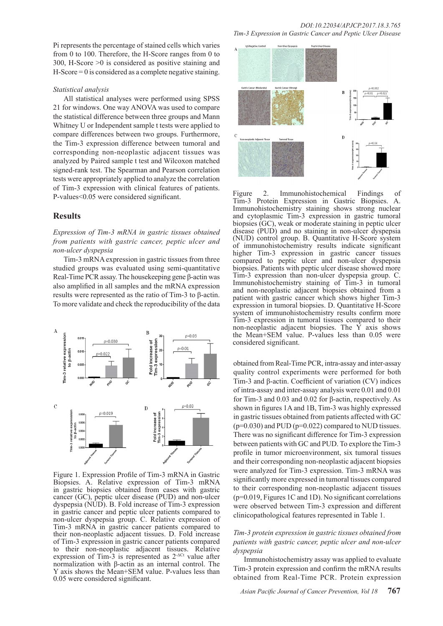Pi represents the percentage of stained cells which varies from 0 to 100. Therefore, the H-Score ranges from 0 to 300, H-Score >0 is considered as positive staining and  $H-Score = 0$  is considered as a complete negative staining.

#### *Statistical analysis*

All statistical analyses were performed using SPSS 21 for windows. One way ANOVA was used to compare the statistical difference between three groups and Mann Whitney U or Independent sample t tests were applied to compare differences between two groups. Furthermore, the Tim-3 expression difference between tumoral and corresponding non-neoplastic adjacent tissues was analyzed by Paired sample t test and Wilcoxon matched signed-rank test. The Spearman and Pearson correlation tests were appropriately applied to analyze the correlation of Tim-3 expression with clinical features of patients. P-values<0.05 were considered significant.

#### **Results**

*Expression of Tim-3 mRNA in gastric tissues obtained from patients with gastric cancer, peptic ulcer and non-ulcer dyspepsia*

Tim-3 mRNA expression in gastric tissues from three studied groups was evaluated using semi-quantitative Real-Time PCR assay. The housekeeping gene β-actin was also amplified in all samples and the mRNA expression results were represented as the ratio of Tim-3 to β-actin. To more validate and check the reproducibility of the data



Figure 1. Expression Profile of Tim-3 mRNA in Gastric Biopsies. A. Relative expression of Tim-3 mRNA in gastric biopsies obtained from cases with gastric cancer (GC), peptic ulcer disease (PUD) and non-ulcer dyspepsia (NUD). B. Fold increase of Tim-3 expression in gastric cancer and peptic ulcer patients compared to non-ulcer dyspepsia group. C. Relative expression of Tim-3 mRNA in gastric cancer patients compared to their non-neoplastic adjacent tissues. D. Fold increase of Tim-3 expression in gastric cancer patients compared to their non-neoplastic adjacent tissues. Relative expression of Tim-3 is represented as  $2^{-\Delta Ct}$  value after normalization with β-actin as an internal control. The Y axis shows the Mean+SEM value. P-values less than 0.05 were considered significant.



Figure 2. Immunohistochemical Findings of Tim-3 Protein Expression in Gastric Biopsies. A. Immunohistochemistry staining shows strong nuclear and cytoplasmic Tim-3 expression in gastric tumoral biopsies (GC), weak or moderate staining in peptic ulcer disease (PUD) and no staining in non-ulcer dyspepsia (NUD) control group. B. Quantitative H-Score system of immunohistochemistry results indicate significant higher Tim-3 expression in gastric cancer tissues compared to peptic ulcer and non-ulcer dyspepsia biopsies. Patients with peptic ulcer disease showed more Tim-3 expression than non-ulcer dyspepsia group. C. Immunohistochemistry staining of Tim-3 in tumoral and non-neoplastic adjacent biopsies obtained from a patient with gastric cancer which shows higher Tim-3 expression in tumoral biopsies. D. Quantitative H-Score system of immunohistochemistry results confirm more Tim-3 expression in tumoral tissues compared to their non-neoplastic adjacent biopsies. The Y axis shows the Mean+SEM value. P-values less than 0.05 were considered significant.

obtained from Real-Time PCR, intra-assay and inter-assay quality control experiments were performed for both Tim-3 and β-actin. Coefficient of variation (CV) indices of intra-assay and inter-assay analysis were 0.01 and 0.01 for Tim-3 and 0.03 and 0.02 for β-actin, respectively. As shown in figures 1A and 1B, Tim-3 was highly expressed in gastric tissues obtained from patients affected with GC  $(p=0.030)$  and PUD  $(p=0.022)$  compared to NUD tissues. There was no significant difference for Tim-3 expression between patients with GC and PUD. To explore the Tim-3 profile in tumor microenvironment, six tumoral tissues and their corresponding non-neoplastic adjacent biopsies were analyzed for Tim-3 expression. Tim-3 mRNA was significantly more expressed in tumoral tissues compared to their corresponding non-neoplastic adjacent tissues (p=0.019, Figures 1C and 1D). No significant correlations were observed between Tim-3 expression and different clinicopathological features represented in Table 1.

#### *Tim-3 protein expression in gastric tissues obtained from patients with gastric cancer, peptic ulcer and non-ulcer dyspepsia*

Immunohistochemistry assay was applied to evaluate Tim-3 protein expression and confirm the mRNA results obtained from Real-Time PCR. Protein expression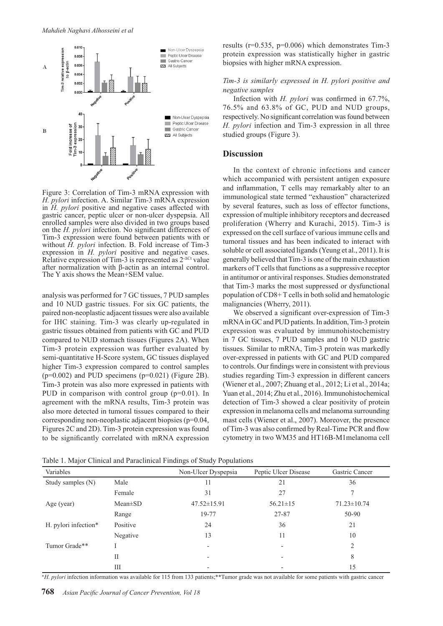

Figure 3: Correlation of Tim-3 mRNA expression with *H. pylori* infection. A. Similar Tim-3 mRNA expression in *H. pylori* positive and negative cases affected with gastric cancer, peptic ulcer or non-ulcer dyspepsia. All enrolled samples were also divided in two groups based on the *H. pylori* infection. No significant differences of Tim-3 expression were found between patients with or without *H. pylori* infection. B. Fold increase of Tim-3 expression in *H. pylori* positive and negative cases. Relative expression of Tim-3 is represented as  $2^{\Delta C_t}$  value after normalization with β-actin as an internal control. The Y axis shows the Mean+SEM value.

analysis was performed for 7 GC tissues, 7 PUD samples and 10 NUD gastric tissues. For six GC patients, the paired non-neoplastic adjacent tissues were also available for IHC staining. Tim-3 was clearly up-regulated in gastric tissues obtained from patients with GC and PUD compared to NUD stomach tissues (Figures 2A). When Tim-3 protein expression was further evaluated by semi-quantitative H-Score system, GC tissues displayed higher Tim-3 expression compared to control samples  $(p=0.002)$  and PUD specimens  $(p=0.021)$  (Figure 2B). Tim-3 protein was also more expressed in patients with PUD in comparison with control group (p=0.01). In agreement with the mRNA results, Tim-3 protein was also more detected in tumoral tissues compared to their corresponding non-neoplastic adjacent biopsies (p=0.04, Figures 2C and 2D). Tim-3 protein expression was found to be significantly correlated with mRNA expression results (r=0.535, p=0.006) which demonstrates Tim-3 protein expression was statistically higher in gastric biopsies with higher mRNA expression.

#### *Tim-3 is similarly expressed in H. pylori positive and negative samples*

Infection with *H. pylori* was confirmed in 67.7%, 76.5% and 63.8% of GC, PUD and NUD groups, respectively. No significant correlation was found between *H. pylori* infection and Tim-3 expression in all three studied groups (Figure 3).

#### **Discussion**

In the context of chronic infections and cancer which accompanied with persistent antigen exposure and inflammation, T cells may remarkably alter to an immunological state termed "exhaustion" characterized by several features, such as loss of effector functions, expression of multiple inhibitory receptors and decreased proliferation (Wherry and Kurachi, 2015). Tim-3 is expressed on the cell surface of various immune cells and tumoral tissues and has been indicated to interact with soluble or cell associated ligands (Yeung et al., 2011). It is generally believed that Tim-3 is one of the main exhaustion markers of T cells that functions as a suppressive receptor in antitumor or antiviral responses. Studies demonstrated that Tim-3 marks the most suppressed or dysfunctional population of CD8+ T cells in both solid and hematologic malignancies (Wherry, 2011).

We observed a significant over-expression of Tim-3 mRNA in GC and PUD patients. In addition, Tim-3 protein expression was evaluated by immunohistochemistry in 7 GC tissues, 7 PUD samples and 10 NUD gastric tissues. Similar to mRNA, Tim-3 protein was markedly over-expressed in patients with GC and PUD compared to controls. Our findings were in consistent with previous studies regarding Tim-3 expression in different cancers (Wiener et al., 2007; Zhuang et al., 2012; Li et al., 2014a; Yuan et al., 2014; Zhu et al., 2016). Immunohistochemical detection of Tim-3 showed a clear positivity of protein expression in melanoma cells and melanoma surrounding mast cells (Wiener et al., 2007). Moreover, the presence of Tim-3 was also confirmed by Real-Time PCR and flow cytometry in two WM35 and HT16B-M1melanoma cell

| Variables            |               | Non-Ulcer Dyspepsia      | Peptic Ulcer Disease | Gastric Cancer    |  |
|----------------------|---------------|--------------------------|----------------------|-------------------|--|
| Study samples (N)    | Male          | 11                       | 21                   | 36                |  |
|                      | Female        | 31                       | 27                   |                   |  |
| Age (year)           | $Mean \pm SD$ | $47.52 \pm 15.91$        | $56.21 \pm 15$       | $71.23 \pm 10.74$ |  |
|                      | Range         | 19-77                    | 27-87                | 50-90             |  |
| H. pylori infection* | Positive      | 24                       | 36                   | 21                |  |
|                      | Negative      | 13                       | 11                   | 10                |  |
| Tumor Grade**        |               | $\overline{\phantom{0}}$ |                      | $\overline{c}$    |  |
|                      | П             |                          |                      | 8                 |  |
|                      | Ш             |                          |                      | 15                |  |

Table 1. Major Clinical and Paraclinical Findings of Study Populations

\**H. pylori* infection information was available for 115 from 133 patients;\*\*Tumor grade was not available for some patients with gastric cancer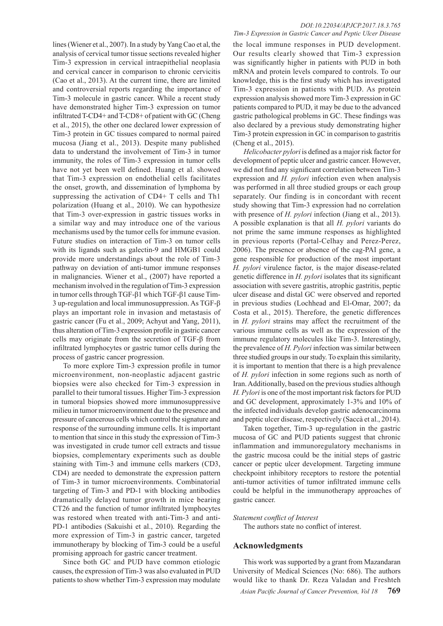lines (Wiener et al., 2007). In a study by Yang Cao et al, the analysis of cervical tumor tissue sections revealed higher Tim-3 expression in cervical intraepithelial neoplasia and cervical cancer in comparison to chronic cervicitis (Cao et al., 2013). At the current time, there are limited and controversial reports regarding the importance of Tim-3 molecule in gastric cancer. While a recent study have demonstrated higher Tim-3 expression on tumor infiltrated T-CD4+ and T-CD8+ of patient with GC (Cheng et al., 2015), the other one declared lower expression of Tim-3 protein in GC tissues compared to normal paired mucosa (Jiang et al., 2013). Despite many published data to understand the involvement of Tim-3 in tumor immunity, the roles of Tim-3 expression in tumor cells have not yet been well defined. Huang et al. showed that Tim-3 expression on endothelial cells facilitates the onset, growth, and dissemination of lymphoma by suppressing the activation of CD4+ T cells and Th1 polarization (Huang et al., 2010). We can hypothesize that Tim-3 over-expression in gastric tissues works in a similar way and may introduce one of the various mechanisms used by the tumor cells for immune evasion. Future studies on interaction of Tim-3 on tumor cells with its ligands such as galectin-9 and HMGB1 could provide more understandings about the role of Tim-3 pathway on deviation of anti-tumor immune responses in malignancies. Wiener et al., (2007) have reported a mechanism involved in the regulation of Tim-3 expression in tumor cells through TGF-β1 which TGF-β1 cause Tim-3 up-regulation and local immunosuppression. As TGF-β plays an important role in invasion and metastasis of gastric cancer (Fu et al., 2009; Achyut and Yang, 2011), thus alteration of Tim-3 expression profile in gastric cancer cells may originate from the secretion of TGF-β from infiltrated lymphocytes or gastric tumor cells during the process of gastric cancer progression.

To more explore Tim-3 expression profile in tumor microenvironment, non-neoplastic adjacent gastric biopsies were also checked for Tim-3 expression in parallel to their tumoral tissues. Higher Tim-3 expression in tumoral biopsies showed more immunosuppressive milieu in tumor microenvironment due to the presence and pressure of cancerous cells which control the signature and response of the surrounding immune cells. It is important to mention that since in this study the expression of Tim-3 was investigated in crude tumor cell extracts and tissue biopsies, complementary experiments such as double staining with Tim-3 and immune cells markers (CD3, CD4) are needed to demonstrate the expression pattern of Tim-3 in tumor microenvironments. Combinatorial targeting of Tim-3 and PD-1 with blocking antibodies dramatically delayed tumor growth in mice bearing CT26 and the function of tumor infiltrated lymphocytes was restored when treated with anti-Tim-3 and anti-PD-1 antibodies (Sakuishi et al., 2010). Regarding the more expression of Tim-3 in gastric cancer, targeted immunotherapy by blocking of Tim-3 could be a useful promising approach for gastric cancer treatment.

Since both GC and PUD have common etiologic causes, the expression of Tim-3 was also evaluated in PUD patients to show whether Tim-3 expression may modulate

#### *DOI:10.22034/APJCP.2017.18.3.765 Tim-3 Expression in Gastric Cancer and Peptic Ulcer Disease*

the local immune responses in PUD development. Our results clearly showed that Tim-3 expression was significantly higher in patients with PUD in both mRNA and protein levels compared to controls. To our knowledge, this is the first study which has investigated Tim-3 expression in patients with PUD. As protein expression analysis showed more Tim-3 expression in GC patients compared to PUD, it may be due to the advanced gastric pathological problems in GC. These findings was also declared by a previous study demonstrating higher Tim-3 protein expression in GC in comparison to gastritis (Cheng et al., 2015).

*Helicobacter pylori* is defined as a major risk factor for development of peptic ulcer and gastric cancer. However, we did not find any significant correlation between Tim-3 expression and *H. pylori* infection even when analysis was performed in all three studied groups or each group separately. Our finding is in concordant with recent study showing that Tim-3 expression had no correlation with presence of *H. pylori* infection (Jiang et al., 2013). A possible explanation is that all *H. pylori* variants do not prime the same immune responses as highlighted in previous reports (Portal-Celhay and Perez-Perez, 2006). The presence or absence of the cag-PAI gene, a gene responsible for production of the most important *H. pylori* virulence factor, is the major disease-related genetic difference in *H. pylori* isolates that its significant association with severe gastritis, atrophic gastritis, peptic ulcer disease and distal GC were observed and reported in previous studies (Lochhead and El-Omar, 2007; da Costa et al., 2015). Therefore, the genetic differences in *H. pylori* strains may affect the recruitment of the various immune cells as well as the expression of the immune regulatory molecules like Tim-3. Interestingly, the prevalence of *H. Pylori* infection was similar between three studied groups in our study. To explain this similarity, it is important to mention that there is a high prevalence of *H. pylori* infection in some regions such as north of Iran. Additionally, based on the previous studies although *H. Pylori* is one of the most important risk factors for PUD and GC development, approximately 1-3% and 10% of the infected individuals develop gastric adenocarcinoma and peptic ulcer disease, respectively (Saccà et al., 2014).

Taken together, Tim-3 up-regulation in the gastric mucosa of GC and PUD patients suggest that chronic inflammation and immunoregulatory mechanisms in the gastric mucosa could be the initial steps of gastric cancer or peptic ulcer development. Targeting immune checkpoint inhibitory receptors to restore the potential anti-tumor activities of tumor infiltrated immune cells could be helpful in the immunotherapy approaches of gastric cancer.

#### *Statement conflict of Interest*

The authors state no conflict of interest.

#### **Acknowledgments**

This work was supported by a grant from Mazandaran University of Medical Sciences (No: 686). The authors would like to thank Dr. Reza Valadan and Freshteh